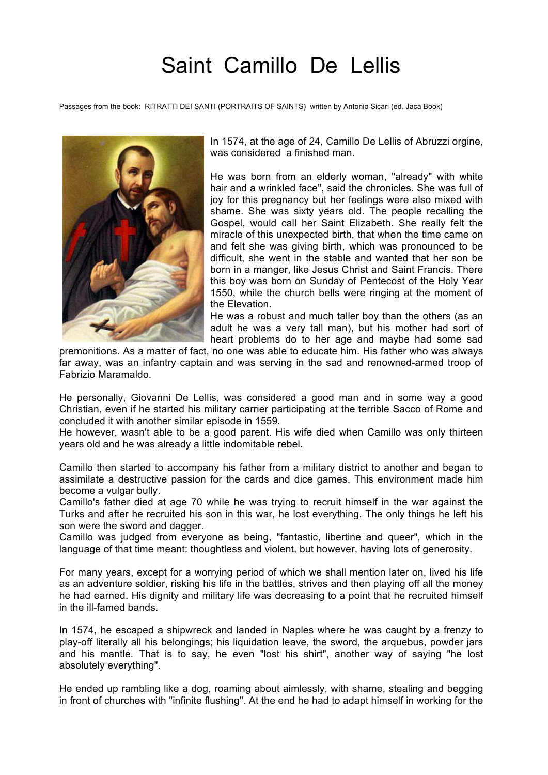## Saint Camillo De Lellis

Passages from the book: RITRATTI DEI SANTI (PORTRAITS OF SAINTS) written by Antonio Sicari (ed. Jaca Book)



In 1574, at the age of 24, Camillo De Lellis of Abruzzi orgine, was considered a finished man.

He was born from an elderly woman, "already" with white hair and a wrinkled face", said the chronicles. She was full of joy for this pregnancy but her feelings were also mixed with shame. She was sixty years old. The people recalling the Gospel, would call her Saint Elizabeth. She really felt the miracle of this unexpected birth, that when the time came on and felt she was giving birth, which was pronounced to be difficult, she went in the stable and wanted that her son be born in a manger, like Jesus Christ and Saint Francis. There this boy was born on Sunday of Pentecost of the Holy Year 1550, while the church bells were ringing at the moment of the Elevation.

He was a robust and much taller boy than the others (as an adult he was a very tall man), but his mother had sort of heart problems do to her age and maybe had some sad

premonitions. As a matter of fact, no one was able to educate him. His father who was always far away, was an infantry captain and was serving in the sad and renowned-armed troop of Fabrizio Maramaldo.

He personally, Giovanni De Lellis, was considered a good man and in some way a good Christian, even if he started his military carrier participating at the terrible Sacco of Rome and concluded it with another similar episode in 1559.

He however, wasn't able to be a good parent. His wife died when Camillo was only thirteen years old and he was already a little indomitable rebel.

Camillo then started to accompany his father from a military district to another and began to assimilate a destructive passion for the cards and dice games. This environment made him become a vulgar bully.

Camillo's father died at age 70 while he was trying to recruit himself in the war against the Turks and after he recruited his son in this war, he lost everything. The only things he left his son were the sword and dagger.

Camillo was judged from everyone as being, "fantastic, libertine and queer", which in the language of that time meant: thoughtless and violent, but however, having lots of generosity.

For many years, except for a worrying period of which we shall mention later on, lived his life as an adventure soldier, risking his life in the battles, strives and then playing off all the money he had earned. His dignity and military life was decreasing to a point that he recruited himself in the ill-famed bands.

In 1574, he escaped a shipwreck and landed in Naples where he was caught by a frenzy to play-off literally all his belongings; his liquidation leave, the sword, the arquebus, powder jars and his mantle. That is to say, he even "lost his shirt", another way of saying "he lost absolutely everything".

He ended up rambling like a dog, roaming about aimlessly, with shame, stealing and begging in front of churches with "infinite flushing". At the end he had to adapt himself in working for the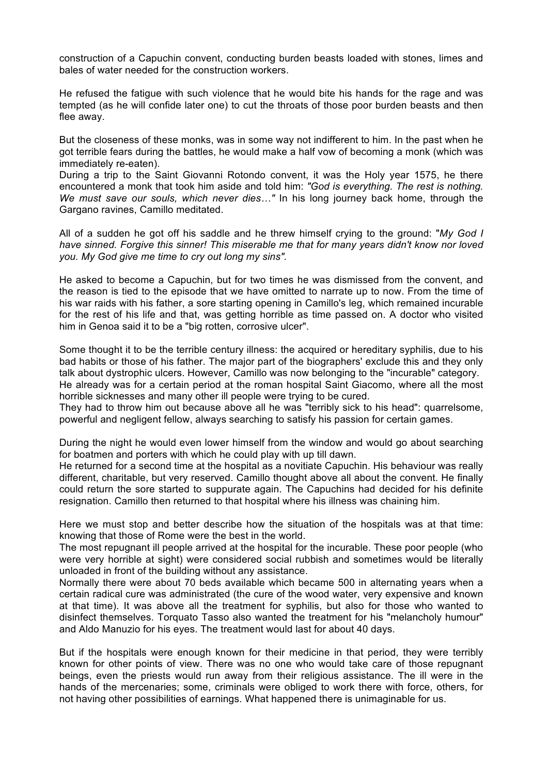construction of a Capuchin convent, conducting burden beasts loaded with stones, limes and bales of water needed for the construction workers.

He refused the fatigue with such violence that he would bite his hands for the rage and was tempted (as he will confide later one) to cut the throats of those poor burden beasts and then flee away.

But the closeness of these monks, was in some way not indifferent to him. In the past when he got terrible fears during the battles, he would make a half vow of becoming a monk (which was immediately re-eaten).

During a trip to the Saint Giovanni Rotondo convent, it was the Holy year 1575, he there encountered a monk that took him aside and told him: *"God is everything. The rest is nothing. We must save our souls, which never dies…"* In his long journey back home, through the Gargano ravines, Camillo meditated.

All of a sudden he got off his saddle and he threw himself crying to the ground: "*My God I have sinned. Forgive this sinner! This miserable me that for many years didn't know nor loved you. My God give me time to cry out long my sins".*

He asked to become a Capuchin, but for two times he was dismissed from the convent, and the reason is tied to the episode that we have omitted to narrate up to now. From the time of his war raids with his father, a sore starting opening in Camillo's leg, which remained incurable for the rest of his life and that, was getting horrible as time passed on. A doctor who visited him in Genoa said it to be a "big rotten, corrosive ulcer".

Some thought it to be the terrible century illness: the acquired or hereditary syphilis, due to his bad habits or those of his father. The major part of the biographers' exclude this and they only talk about dystrophic ulcers. However, Camillo was now belonging to the "incurable" category. He already was for a certain period at the roman hospital Saint Giacomo, where all the most horrible sicknesses and many other ill people were trying to be cured.

They had to throw him out because above all he was "terribly sick to his head": quarrelsome, powerful and negligent fellow, always searching to satisfy his passion for certain games.

During the night he would even lower himself from the window and would go about searching for boatmen and porters with which he could play with up till dawn.

He returned for a second time at the hospital as a novitiate Capuchin. His behaviour was really different, charitable, but very reserved. Camillo thought above all about the convent. He finally could return the sore started to suppurate again. The Capuchins had decided for his definite resignation. Camillo then returned to that hospital where his illness was chaining him.

Here we must stop and better describe how the situation of the hospitals was at that time: knowing that those of Rome were the best in the world.

The most repugnant ill people arrived at the hospital for the incurable. These poor people (who were very horrible at sight) were considered social rubbish and sometimes would be literally unloaded in front of the building without any assistance.

Normally there were about 70 beds available which became 500 in alternating years when a certain radical cure was administrated (the cure of the wood water, very expensive and known at that time). It was above all the treatment for syphilis, but also for those who wanted to disinfect themselves. Torquato Tasso also wanted the treatment for his "melancholy humour" and Aldo Manuzio for his eyes. The treatment would last for about 40 days.

But if the hospitals were enough known for their medicine in that period, they were terribly known for other points of view. There was no one who would take care of those repugnant beings, even the priests would run away from their religious assistance. The ill were in the hands of the mercenaries; some, criminals were obliged to work there with force, others, for not having other possibilities of earnings. What happened there is unimaginable for us.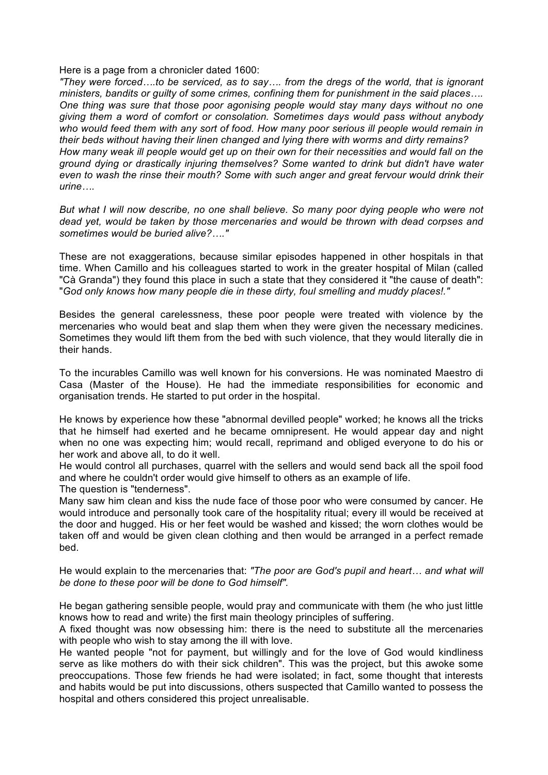Here is a page from a chronicler dated 1600:

*"They were forced….to be serviced, as to say…. from the dregs of the world, that is ignorant ministers, bandits or guilty of some crimes, confining them for punishment in the said places…. One thing was sure that those poor agonising people would stay many days without no one giving them a word of comfort or consolation. Sometimes days would pass without anybody who would feed them with any sort of food. How many poor serious ill people would remain in their beds without having their linen changed and lying there with worms and dirty remains? How many weak ill people would get up on their own for their necessities and would fall on the ground dying or drastically injuring themselves? Some wanted to drink but didn't have water even to wash the rinse their mouth? Some with such anger and great fervour would drink their urine….*

*But what I will now describe, no one shall believe. So many poor dying people who were not dead yet, would be taken by those mercenaries and would be thrown with dead corpses and sometimes would be buried alive?…."*

These are not exaggerations, because similar episodes happened in other hospitals in that time. When Camillo and his colleagues started to work in the greater hospital of Milan (called "Cà Granda") they found this place in such a state that they considered it "the cause of death": "*God only knows how many people die in these dirty, foul smelling and muddy places!."*

Besides the general carelessness, these poor people were treated with violence by the mercenaries who would beat and slap them when they were given the necessary medicines. Sometimes they would lift them from the bed with such violence, that they would literally die in their hands.

To the incurables Camillo was well known for his conversions. He was nominated Maestro di Casa (Master of the House). He had the immediate responsibilities for economic and organisation trends. He started to put order in the hospital.

He knows by experience how these "abnormal devilled people" worked; he knows all the tricks that he himself had exerted and he became omnipresent. He would appear day and night when no one was expecting him; would recall, reprimand and obliged everyone to do his or her work and above all, to do it well.

He would control all purchases, quarrel with the sellers and would send back all the spoil food and where he couldn't order would give himself to others as an example of life.

The question is "tenderness".

Many saw him clean and kiss the nude face of those poor who were consumed by cancer. He would introduce and personally took care of the hospitality ritual; every ill would be received at the door and hugged. His or her feet would be washed and kissed; the worn clothes would be taken off and would be given clean clothing and then would be arranged in a perfect remade bed.

He would explain to the mercenaries that: *"The poor are God's pupil and heart… and what will be done to these poor will be done to God himself".*

He began gathering sensible people, would pray and communicate with them (he who just little knows how to read and write) the first main theology principles of suffering.

A fixed thought was now obsessing him: there is the need to substitute all the mercenaries with people who wish to stay among the ill with love.

He wanted people "not for payment, but willingly and for the love of God would kindliness serve as like mothers do with their sick children". This was the project, but this awoke some preoccupations. Those few friends he had were isolated; in fact, some thought that interests and habits would be put into discussions, others suspected that Camillo wanted to possess the hospital and others considered this project unrealisable.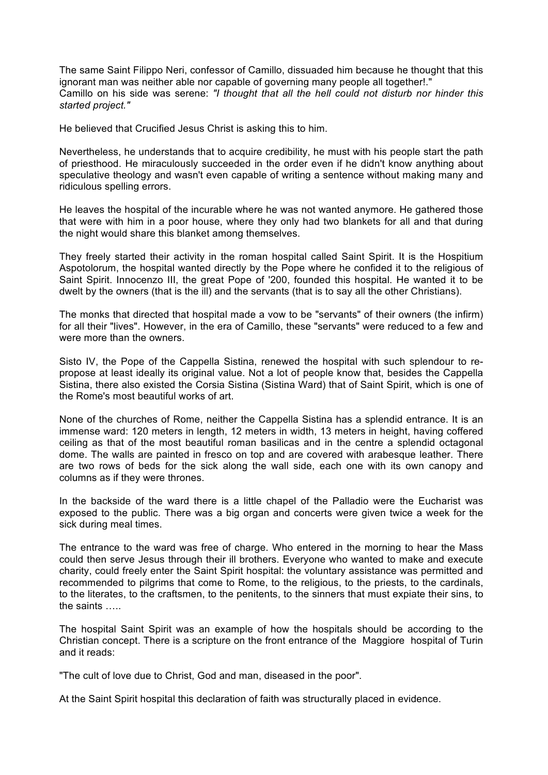The same Saint Filippo Neri, confessor of Camillo, dissuaded him because he thought that this ignorant man was neither able nor capable of governing many people all together!." Camillo on his side was serene: *"I thought that all the hell could not disturb nor hinder this started project."*

He believed that Crucified Jesus Christ is asking this to him.

Nevertheless, he understands that to acquire credibility, he must with his people start the path of priesthood. He miraculously succeeded in the order even if he didn't know anything about speculative theology and wasn't even capable of writing a sentence without making many and ridiculous spelling errors.

He leaves the hospital of the incurable where he was not wanted anymore. He gathered those that were with him in a poor house, where they only had two blankets for all and that during the night would share this blanket among themselves.

They freely started their activity in the roman hospital called Saint Spirit. It is the Hospitium Aspotolorum, the hospital wanted directly by the Pope where he confided it to the religious of Saint Spirit. Innocenzo III, the great Pope of '200, founded this hospital. He wanted it to be dwelt by the owners (that is the ill) and the servants (that is to say all the other Christians).

The monks that directed that hospital made a vow to be "servants" of their owners (the infirm) for all their "lives". However, in the era of Camillo, these "servants" were reduced to a few and were more than the owners.

Sisto IV, the Pope of the Cappella Sistina, renewed the hospital with such splendour to repropose at least ideally its original value. Not a lot of people know that, besides the Cappella Sistina, there also existed the Corsia Sistina (Sistina Ward) that of Saint Spirit, which is one of the Rome's most beautiful works of art.

None of the churches of Rome, neither the Cappella Sistina has a splendid entrance. It is an immense ward: 120 meters in length, 12 meters in width, 13 meters in height, having coffered ceiling as that of the most beautiful roman basilicas and in the centre a splendid octagonal dome. The walls are painted in fresco on top and are covered with arabesque leather. There are two rows of beds for the sick along the wall side, each one with its own canopy and columns as if they were thrones.

In the backside of the ward there is a little chapel of the Palladio were the Eucharist was exposed to the public. There was a big organ and concerts were given twice a week for the sick during meal times.

The entrance to the ward was free of charge. Who entered in the morning to hear the Mass could then serve Jesus through their ill brothers. Everyone who wanted to make and execute charity, could freely enter the Saint Spirit hospital: the voluntary assistance was permitted and recommended to pilgrims that come to Rome, to the religious, to the priests, to the cardinals, to the literates, to the craftsmen, to the penitents, to the sinners that must expiate their sins, to the saints …..

The hospital Saint Spirit was an example of how the hospitals should be according to the Christian concept. There is a scripture on the front entrance of the Maggiore hospital of Turin and it reads:

"The cult of love due to Christ, God and man, diseased in the poor".

At the Saint Spirit hospital this declaration of faith was structurally placed in evidence.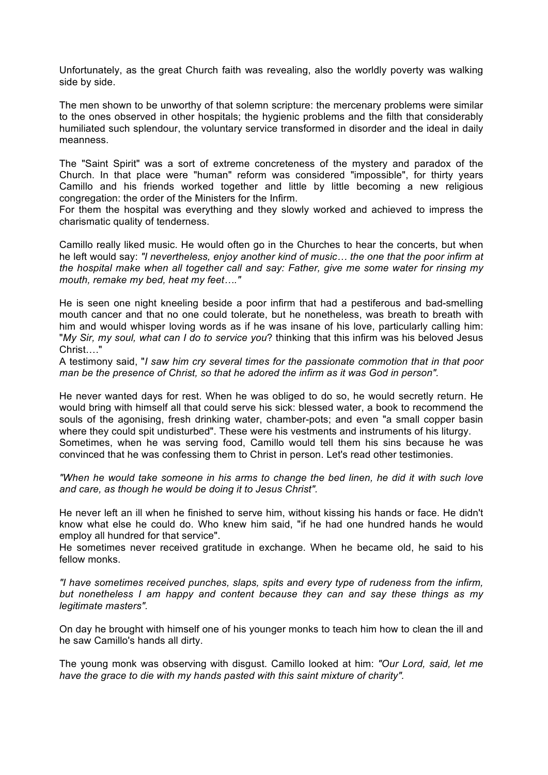Unfortunately, as the great Church faith was revealing, also the worldly poverty was walking side by side.

The men shown to be unworthy of that solemn scripture: the mercenary problems were similar to the ones observed in other hospitals; the hygienic problems and the filth that considerably humiliated such splendour, the voluntary service transformed in disorder and the ideal in daily meanness.

The "Saint Spirit" was a sort of extreme concreteness of the mystery and paradox of the Church. In that place were "human" reform was considered "impossible", for thirty years Camillo and his friends worked together and little by little becoming a new religious congregation: the order of the Ministers for the Infirm.

For them the hospital was everything and they slowly worked and achieved to impress the charismatic quality of tenderness.

Camillo really liked music. He would often go in the Churches to hear the concerts, but when he left would say: *"I nevertheless, enjoy another kind of music… the one that the poor infirm at the hospital make when all together call and say: Father, give me some water for rinsing my mouth, remake my bed, heat my feet…."*

He is seen one night kneeling beside a poor infirm that had a pestiferous and bad-smelling mouth cancer and that no one could tolerate, but he nonetheless, was breath to breath with him and would whisper loving words as if he was insane of his love, particularly calling him: "*My Sir, my soul, what can I do to service you*? thinking that this infirm was his beloved Jesus Christ…."

A testimony said, "*I saw him cry several times for the passionate commotion that in that poor man be the presence of Christ, so that he adored the infirm as it was God in person".*

He never wanted days for rest. When he was obliged to do so, he would secretly return. He would bring with himself all that could serve his sick: blessed water, a book to recommend the souls of the agonising, fresh drinking water, chamber-pots; and even "a small copper basin where they could spit undisturbed". These were his vestments and instruments of his liturgy. Sometimes, when he was serving food, Camillo would tell them his sins because he was convinced that he was confessing them to Christ in person. Let's read other testimonies.

*"When he would take someone in his arms to change the bed linen, he did it with such love and care, as though he would be doing it to Jesus Christ".*

He never left an ill when he finished to serve him, without kissing his hands or face. He didn't know what else he could do. Who knew him said, "if he had one hundred hands he would employ all hundred for that service".

He sometimes never received gratitude in exchange. When he became old, he said to his fellow monks.

*"I have sometimes received punches, slaps, spits and every type of rudeness from the infirm, but nonetheless I am happy and content because they can and say these things as my legitimate masters".*

On day he brought with himself one of his younger monks to teach him how to clean the ill and he saw Camillo's hands all dirty.

The young monk was observing with disgust. Camillo looked at him: *"Our Lord, said, let me have the grace to die with my hands pasted with this saint mixture of charity".*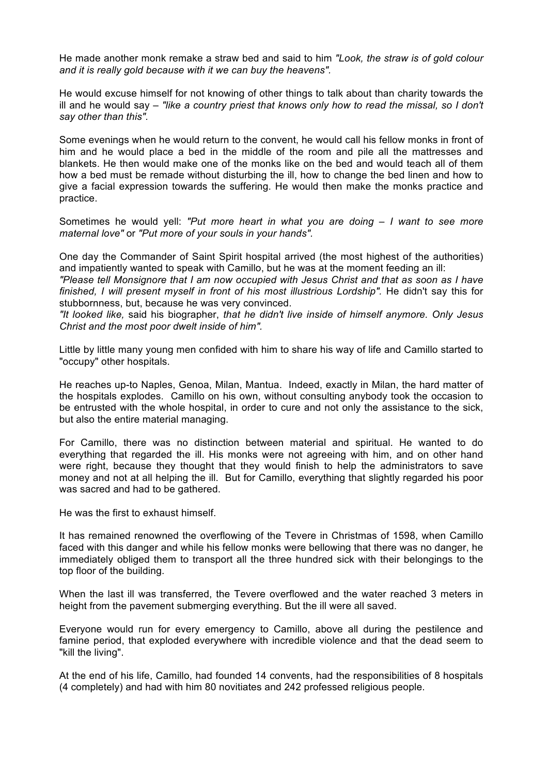He made another monk remake a straw bed and said to him *"Look, the straw is of gold colour and it is really gold because with it we can buy the heavens".*

He would excuse himself for not knowing of other things to talk about than charity towards the ill and he would say – *"like a country priest that knows only how to read the missal, so I don't say other than this".*

Some evenings when he would return to the convent, he would call his fellow monks in front of him and he would place a bed in the middle of the room and pile all the mattresses and blankets. He then would make one of the monks like on the bed and would teach all of them how a bed must be remade without disturbing the ill, how to change the bed linen and how to give a facial expression towards the suffering. He would then make the monks practice and practice.

Sometimes he would yell: *"Put more heart in what you are doing – I want to see more maternal love"* or *"Put more of your souls in your hands".*

One day the Commander of Saint Spirit hospital arrived (the most highest of the authorities) and impatiently wanted to speak with Camillo, but he was at the moment feeding an ill:

*"Please tell Monsignore that I am now occupied with Jesus Christ and that as soon as I have finished, I will present myself in front of his most illustrious Lordship".* He didn't say this for stubbornness, but, because he was very convinced.

*"It looked like,* said his biographer, *that he didn't live inside of himself anymore. Only Jesus Christ and the most poor dwelt inside of him".*

Little by little many young men confided with him to share his way of life and Camillo started to "occupy" other hospitals.

He reaches up-to Naples, Genoa, Milan, Mantua. Indeed, exactly in Milan, the hard matter of the hospitals explodes. Camillo on his own, without consulting anybody took the occasion to be entrusted with the whole hospital, in order to cure and not only the assistance to the sick, but also the entire material managing.

For Camillo, there was no distinction between material and spiritual. He wanted to do everything that regarded the ill. His monks were not agreeing with him, and on other hand were right, because they thought that they would finish to help the administrators to save money and not at all helping the ill. But for Camillo, everything that slightly regarded his poor was sacred and had to be gathered.

He was the first to exhaust himself.

It has remained renowned the overflowing of the Tevere in Christmas of 1598, when Camillo faced with this danger and while his fellow monks were bellowing that there was no danger, he immediately obliged them to transport all the three hundred sick with their belongings to the top floor of the building.

When the last ill was transferred, the Tevere overflowed and the water reached 3 meters in height from the pavement submerging everything. But the ill were all saved.

Everyone would run for every emergency to Camillo, above all during the pestilence and famine period, that exploded everywhere with incredible violence and that the dead seem to "kill the living".

At the end of his life, Camillo, had founded 14 convents, had the responsibilities of 8 hospitals (4 completely) and had with him 80 novitiates and 242 professed religious people.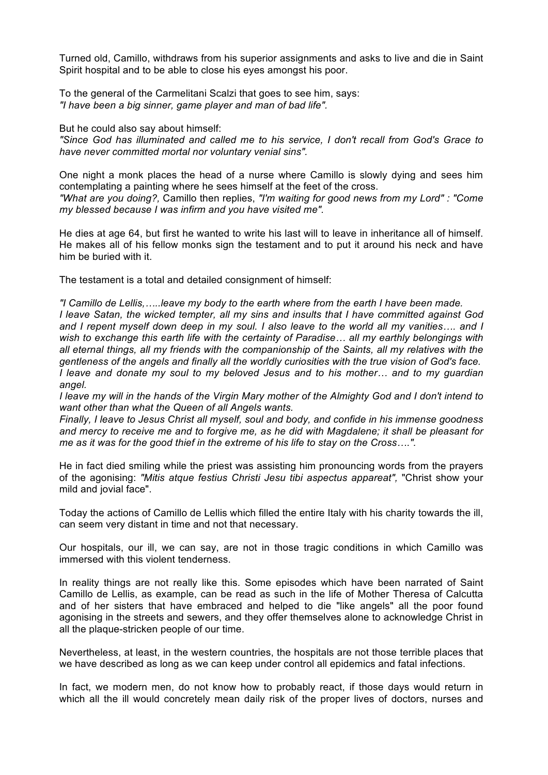Turned old, Camillo, withdraws from his superior assignments and asks to live and die in Saint Spirit hospital and to be able to close his eyes amongst his poor.

To the general of the Carmelitani Scalzi that goes to see him, says: *"I have been a big sinner, game player and man of bad life".*

But he could also say about himself:

*"Since God has illuminated and called me to his service, I don't recall from God's Grace to have never committed mortal nor voluntary venial sins".*

One night a monk places the head of a nurse where Camillo is slowly dying and sees him contemplating a painting where he sees himself at the feet of the cross. *"What are you doing?,* Camillo then replies, *"I'm waiting for good news from my Lord" : "Come my blessed because I was infirm and you have visited me".*

He dies at age 64, but first he wanted to write his last will to leave in inheritance all of himself. He makes all of his fellow monks sign the testament and to put it around his neck and have him be buried with it.

The testament is a total and detailed consignment of himself:

*"I Camillo de Lellis,…..leave my body to the earth where from the earth I have been made. I leave Satan, the wicked tempter, all my sins and insults that I have committed against God and I repent myself down deep in my soul. I also leave to the world all my vanities…. and I wish to exchange this earth life with the certainty of Paradise… all my earthly belongings with all eternal things, all my friends with the companionship of the Saints, all my relatives with the gentleness of the angels and finally all the worldly curiosities with the true vision of God's face. I leave and donate my soul to my beloved Jesus and to his mother… and to my guardian angel.*

*I leave my will in the hands of the Virgin Mary mother of the Almighty God and I don't intend to want other than what the Queen of all Angels wants.*

*Finally, I leave to Jesus Christ all myself, soul and body, and confide in his immense goodness and mercy to receive me and to forgive me, as he did with Magdalene; it shall be pleasant for me as it was for the good thief in the extreme of his life to stay on the Cross….".*

He in fact died smiling while the priest was assisting him pronouncing words from the prayers of the agonising: *"Mitis atque festius Christi Jesu tibi aspectus appareat",* "Christ show your mild and jovial face".

Today the actions of Camillo de Lellis which filled the entire Italy with his charity towards the ill, can seem very distant in time and not that necessary.

Our hospitals, our ill, we can say, are not in those tragic conditions in which Camillo was immersed with this violent tenderness.

In reality things are not really like this. Some episodes which have been narrated of Saint Camillo de Lellis, as example, can be read as such in the life of Mother Theresa of Calcutta and of her sisters that have embraced and helped to die "like angels" all the poor found agonising in the streets and sewers, and they offer themselves alone to acknowledge Christ in all the plaque-stricken people of our time.

Nevertheless, at least, in the western countries, the hospitals are not those terrible places that we have described as long as we can keep under control all epidemics and fatal infections.

In fact, we modern men, do not know how to probably react, if those days would return in which all the ill would concretely mean daily risk of the proper lives of doctors, nurses and